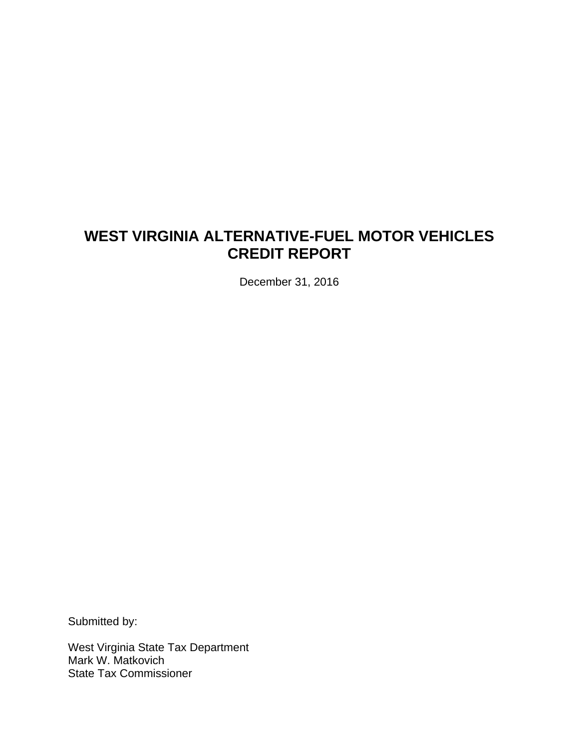# **WEST VIRGINIA ALTERNATIVE-FUEL MOTOR VEHICLES CREDIT REPORT**

December 31, 2016

Submitted by:

West Virginia State Tax Department Mark W. Matkovich State Tax Commissioner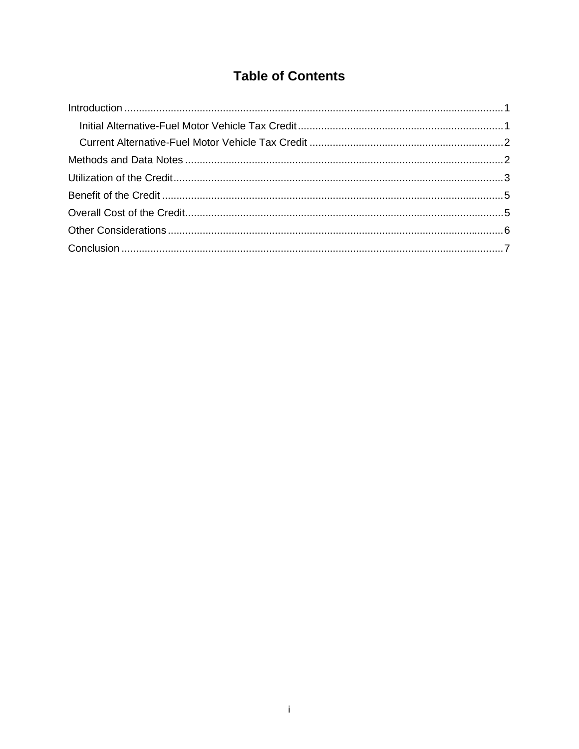# **Table of Contents**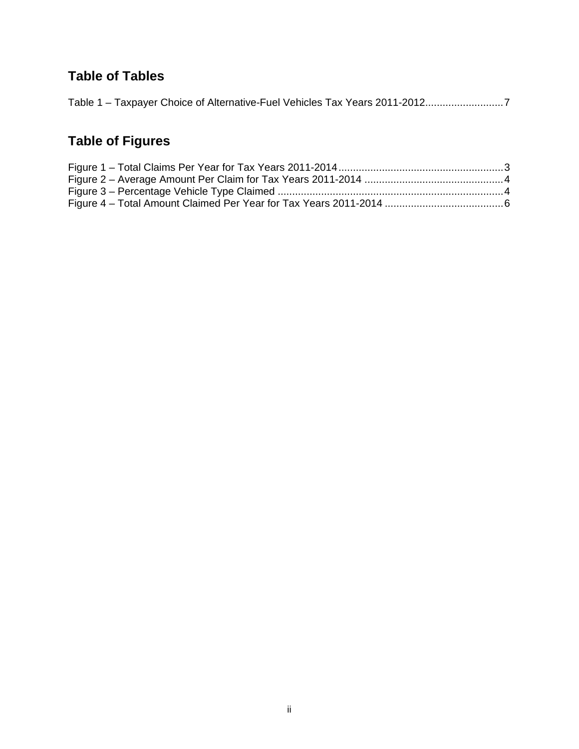# **Table of Tables**

|--|--|--|

# **Table of Figures**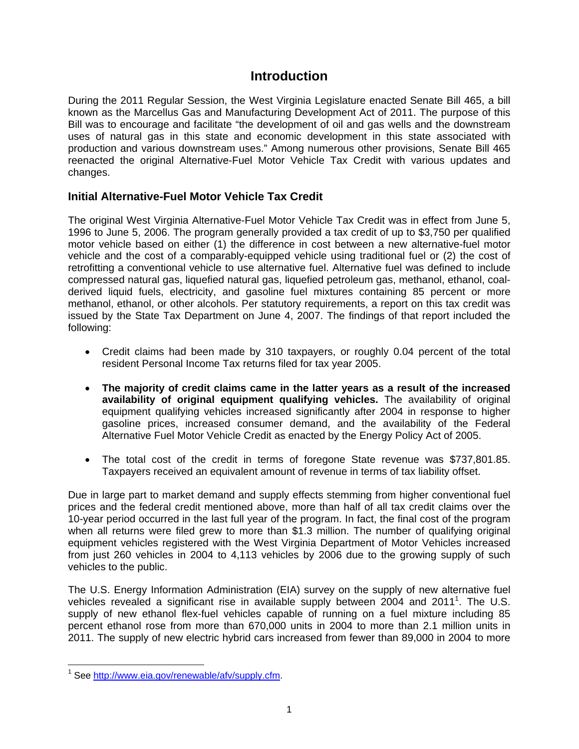## **Introduction**

During the 2011 Regular Session, the West Virginia Legislature enacted Senate Bill 465, a bill known as the Marcellus Gas and Manufacturing Development Act of 2011. The purpose of this Bill was to encourage and facilitate "the development of oil and gas wells and the downstream uses of natural gas in this state and economic development in this state associated with production and various downstream uses." Among numerous other provisions, Senate Bill 465 reenacted the original Alternative-Fuel Motor Vehicle Tax Credit with various updates and changes.

#### **Initial Alternative-Fuel Motor Vehicle Tax Credit**

The original West Virginia Alternative-Fuel Motor Vehicle Tax Credit was in effect from June 5, 1996 to June 5, 2006. The program generally provided a tax credit of up to \$3,750 per qualified motor vehicle based on either (1) the difference in cost between a new alternative-fuel motor vehicle and the cost of a comparably-equipped vehicle using traditional fuel or (2) the cost of retrofitting a conventional vehicle to use alternative fuel. Alternative fuel was defined to include compressed natural gas, liquefied natural gas, liquefied petroleum gas, methanol, ethanol, coalderived liquid fuels, electricity, and gasoline fuel mixtures containing 85 percent or more methanol, ethanol, or other alcohols. Per statutory requirements, a report on this tax credit was issued by the State Tax Department on June 4, 2007. The findings of that report included the following:

- Credit claims had been made by 310 taxpayers, or roughly 0.04 percent of the total resident Personal Income Tax returns filed for tax year 2005.
- **The majority of credit claims came in the latter years as a result of the increased availability of original equipment qualifying vehicles.** The availability of original equipment qualifying vehicles increased significantly after 2004 in response to higher gasoline prices, increased consumer demand, and the availability of the Federal Alternative Fuel Motor Vehicle Credit as enacted by the Energy Policy Act of 2005.
- The total cost of the credit in terms of foregone State revenue was \$737,801.85. Taxpayers received an equivalent amount of revenue in terms of tax liability offset.

Due in large part to market demand and supply effects stemming from higher conventional fuel prices and the federal credit mentioned above, more than half of all tax credit claims over the 10-year period occurred in the last full year of the program. In fact, the final cost of the program when all returns were filed grew to more than \$1.3 million. The number of qualifying original equipment vehicles registered with the West Virginia Department of Motor Vehicles increased from just 260 vehicles in 2004 to 4,113 vehicles by 2006 due to the growing supply of such vehicles to the public.

The U.S. Energy Information Administration (EIA) survey on the supply of new alternative fuel vehicles revealed a significant rise in available supply between 2004 and 2011<sup>1</sup>. The U.S. supply of new ethanol flex-fuel vehicles capable of running on a fuel mixture including 85 percent ethanol rose from more than 670,000 units in 2004 to more than 2.1 million units in 2011. The supply of new electric hybrid cars increased from fewer than 89,000 in 2004 to more

 $\overline{a}$ 

<sup>&</sup>lt;sup>1</sup> See http://www.eia.gov/renewable/afv/supply.cfm.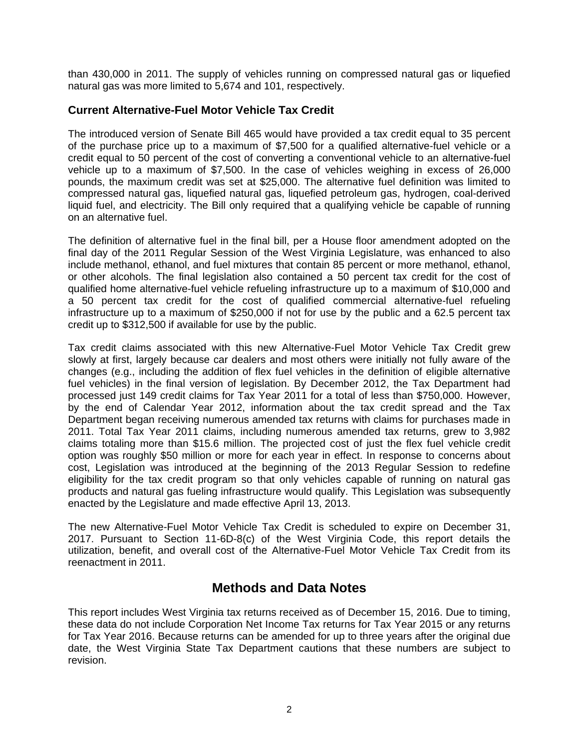than 430,000 in 2011. The supply of vehicles running on compressed natural gas or liquefied natural gas was more limited to 5,674 and 101, respectively.

#### **Current Alternative-Fuel Motor Vehicle Tax Credit**

The introduced version of Senate Bill 465 would have provided a tax credit equal to 35 percent of the purchase price up to a maximum of \$7,500 for a qualified alternative-fuel vehicle or a credit equal to 50 percent of the cost of converting a conventional vehicle to an alternative-fuel vehicle up to a maximum of \$7,500. In the case of vehicles weighing in excess of 26,000 pounds, the maximum credit was set at \$25,000. The alternative fuel definition was limited to compressed natural gas, liquefied natural gas, liquefied petroleum gas, hydrogen, coal-derived liquid fuel, and electricity. The Bill only required that a qualifying vehicle be capable of running on an alternative fuel.

The definition of alternative fuel in the final bill, per a House floor amendment adopted on the final day of the 2011 Regular Session of the West Virginia Legislature, was enhanced to also include methanol, ethanol, and fuel mixtures that contain 85 percent or more methanol, ethanol, or other alcohols. The final legislation also contained a 50 percent tax credit for the cost of qualified home alternative-fuel vehicle refueling infrastructure up to a maximum of \$10,000 and a 50 percent tax credit for the cost of qualified commercial alternative-fuel refueling infrastructure up to a maximum of \$250,000 if not for use by the public and a 62.5 percent tax credit up to \$312,500 if available for use by the public.

Tax credit claims associated with this new Alternative-Fuel Motor Vehicle Tax Credit grew slowly at first, largely because car dealers and most others were initially not fully aware of the changes (e.g., including the addition of flex fuel vehicles in the definition of eligible alternative fuel vehicles) in the final version of legislation. By December 2012, the Tax Department had processed just 149 credit claims for Tax Year 2011 for a total of less than \$750,000. However, by the end of Calendar Year 2012, information about the tax credit spread and the Tax Department began receiving numerous amended tax returns with claims for purchases made in 2011. Total Tax Year 2011 claims, including numerous amended tax returns, grew to 3,982 claims totaling more than \$15.6 million. The projected cost of just the flex fuel vehicle credit option was roughly \$50 million or more for each year in effect. In response to concerns about cost, Legislation was introduced at the beginning of the 2013 Regular Session to redefine eligibility for the tax credit program so that only vehicles capable of running on natural gas products and natural gas fueling infrastructure would qualify. This Legislation was subsequently enacted by the Legislature and made effective April 13, 2013.

The new Alternative-Fuel Motor Vehicle Tax Credit is scheduled to expire on December 31, 2017. Pursuant to Section 11-6D-8(c) of the West Virginia Code, this report details the utilization, benefit, and overall cost of the Alternative-Fuel Motor Vehicle Tax Credit from its reenactment in 2011.

## **Methods and Data Notes**

This report includes West Virginia tax returns received as of December 15, 2016. Due to timing, these data do not include Corporation Net Income Tax returns for Tax Year 2015 or any returns for Tax Year 2016. Because returns can be amended for up to three years after the original due date, the West Virginia State Tax Department cautions that these numbers are subject to revision.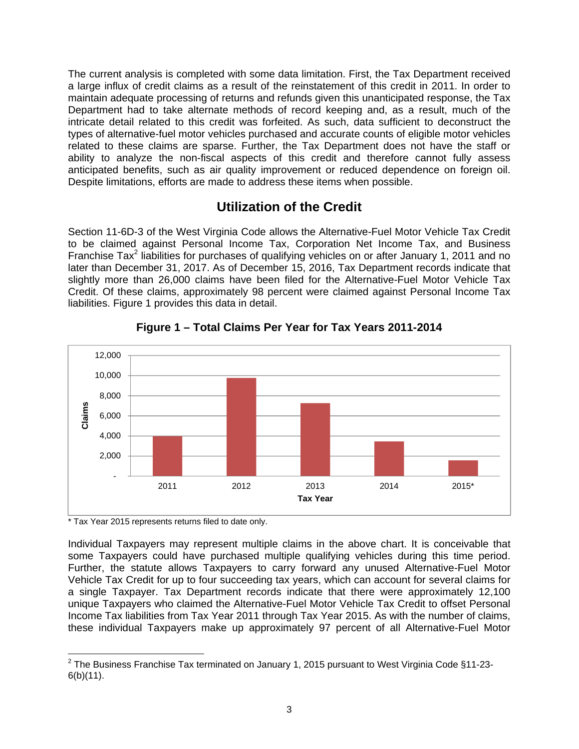The current analysis is completed with some data limitation. First, the Tax Department received a large influx of credit claims as a result of the reinstatement of this credit in 2011. In order to maintain adequate processing of returns and refunds given this unanticipated response, the Tax Department had to take alternate methods of record keeping and, as a result, much of the intricate detail related to this credit was forfeited. As such, data sufficient to deconstruct the types of alternative-fuel motor vehicles purchased and accurate counts of eligible motor vehicles related to these claims are sparse. Further, the Tax Department does not have the staff or ability to analyze the non-fiscal aspects of this credit and therefore cannot fully assess anticipated benefits, such as air quality improvement or reduced dependence on foreign oil. Despite limitations, efforts are made to address these items when possible.

## **Utilization of the Credit**

Section 11-6D-3 of the West Virginia Code allows the Alternative-Fuel Motor Vehicle Tax Credit to be claimed against Personal Income Tax, Corporation Net Income Tax, and Business Franchise Tax<sup>2</sup> liabilities for purchases of qualifying vehicles on or after January 1, 2011 and no later than December 31, 2017. As of December 15, 2016, Tax Department records indicate that slightly more than 26,000 claims have been filed for the Alternative-Fuel Motor Vehicle Tax Credit. Of these claims, approximately 98 percent were claimed against Personal Income Tax liabilities. Figure 1 provides this data in detail.



**Figure 1 – Total Claims Per Year for Tax Years 2011-2014** 

\* Tax Year 2015 represents returns filed to date only.

Individual Taxpayers may represent multiple claims in the above chart. It is conceivable that some Taxpayers could have purchased multiple qualifying vehicles during this time period. Further, the statute allows Taxpayers to carry forward any unused Alternative-Fuel Motor Vehicle Tax Credit for up to four succeeding tax years, which can account for several claims for a single Taxpayer. Tax Department records indicate that there were approximately 12,100 unique Taxpayers who claimed the Alternative-Fuel Motor Vehicle Tax Credit to offset Personal Income Tax liabilities from Tax Year 2011 through Tax Year 2015. As with the number of claims, these individual Taxpayers make up approximately 97 percent of all Alternative-Fuel Motor

 2 The Business Franchise Tax terminated on January 1, 2015 pursuant to West Virginia Code §11-23- 6(b)(11).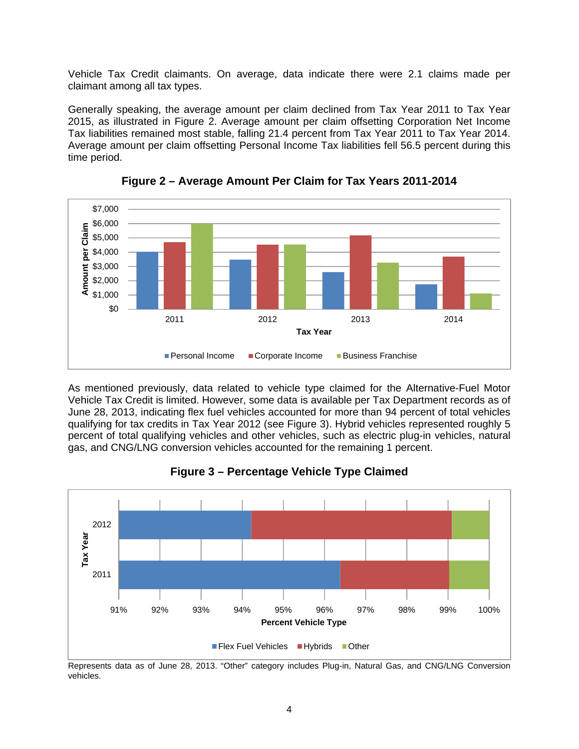Vehicle Tax Credit claimants. On average, data indicate there were 2.1 claims made per claimant among all tax types.

Generally speaking, the average amount per claim declined from Tax Year 2011 to Tax Year 2015, as illustrated in Figure 2. Average amount per claim offsetting Corporation Net Income Tax liabilities remained most stable, falling 21.4 percent from Tax Year 2011 to Tax Year 2014. Average amount per claim offsetting Personal Income Tax liabilities fell 56.5 percent during this time period.



**Figure 2 – Average Amount Per Claim for Tax Years 2011-2014** 

As mentioned previously, data related to vehicle type claimed for the Alternative-Fuel Motor Vehicle Tax Credit is limited. However, some data is available per Tax Department records as of June 28, 2013, indicating flex fuel vehicles accounted for more than 94 percent of total vehicles qualifying for tax credits in Tax Year 2012 (see Figure 3). Hybrid vehicles represented roughly 5 percent of total qualifying vehicles and other vehicles, such as electric plug-in vehicles, natural gas, and CNG/LNG conversion vehicles accounted for the remaining 1 percent.



**Figure 3 – Percentage Vehicle Type Claimed** 

Represents data as of June 28, 2013. "Other" category includes Plug-in, Natural Gas, and CNG/LNG Conversion vehicles.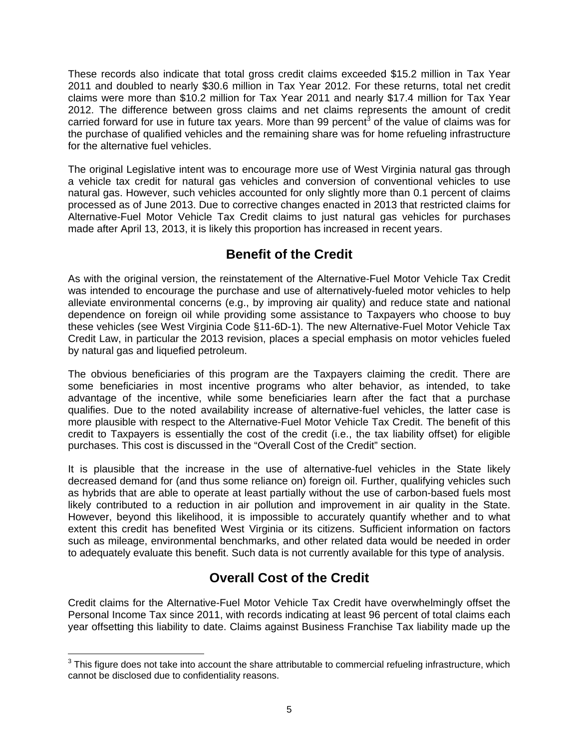These records also indicate that total gross credit claims exceeded \$15.2 million in Tax Year 2011 and doubled to nearly \$30.6 million in Tax Year 2012. For these returns, total net credit claims were more than \$10.2 million for Tax Year 2011 and nearly \$17.4 million for Tax Year 2012. The difference between gross claims and net claims represents the amount of credit carried forward for use in future tax years. More than 99 percent<sup>3</sup> of the value of claims was for the purchase of qualified vehicles and the remaining share was for home refueling infrastructure for the alternative fuel vehicles.

The original Legislative intent was to encourage more use of West Virginia natural gas through a vehicle tax credit for natural gas vehicles and conversion of conventional vehicles to use natural gas. However, such vehicles accounted for only slightly more than 0.1 percent of claims processed as of June 2013. Due to corrective changes enacted in 2013 that restricted claims for Alternative-Fuel Motor Vehicle Tax Credit claims to just natural gas vehicles for purchases made after April 13, 2013, it is likely this proportion has increased in recent years.

## **Benefit of the Credit**

As with the original version, the reinstatement of the Alternative-Fuel Motor Vehicle Tax Credit was intended to encourage the purchase and use of alternatively-fueled motor vehicles to help alleviate environmental concerns (e.g., by improving air quality) and reduce state and national dependence on foreign oil while providing some assistance to Taxpayers who choose to buy these vehicles (see West Virginia Code §11-6D-1). The new Alternative-Fuel Motor Vehicle Tax Credit Law, in particular the 2013 revision, places a special emphasis on motor vehicles fueled by natural gas and liquefied petroleum.

The obvious beneficiaries of this program are the Taxpayers claiming the credit. There are some beneficiaries in most incentive programs who alter behavior, as intended, to take advantage of the incentive, while some beneficiaries learn after the fact that a purchase qualifies. Due to the noted availability increase of alternative-fuel vehicles, the latter case is more plausible with respect to the Alternative-Fuel Motor Vehicle Tax Credit. The benefit of this credit to Taxpayers is essentially the cost of the credit (i.e., the tax liability offset) for eligible purchases. This cost is discussed in the "Overall Cost of the Credit" section.

It is plausible that the increase in the use of alternative-fuel vehicles in the State likely decreased demand for (and thus some reliance on) foreign oil. Further, qualifying vehicles such as hybrids that are able to operate at least partially without the use of carbon-based fuels most likely contributed to a reduction in air pollution and improvement in air quality in the State. However, beyond this likelihood, it is impossible to accurately quantify whether and to what extent this credit has benefited West Virginia or its citizens. Sufficient information on factors such as mileage, environmental benchmarks, and other related data would be needed in order to adequately evaluate this benefit. Such data is not currently available for this type of analysis.

## **Overall Cost of the Credit**

Credit claims for the Alternative-Fuel Motor Vehicle Tax Credit have overwhelmingly offset the Personal Income Tax since 2011, with records indicating at least 96 percent of total claims each year offsetting this liability to date. Claims against Business Franchise Tax liability made up the

 3 This figure does not take into account the share attributable to commercial refueling infrastructure, which cannot be disclosed due to confidentiality reasons.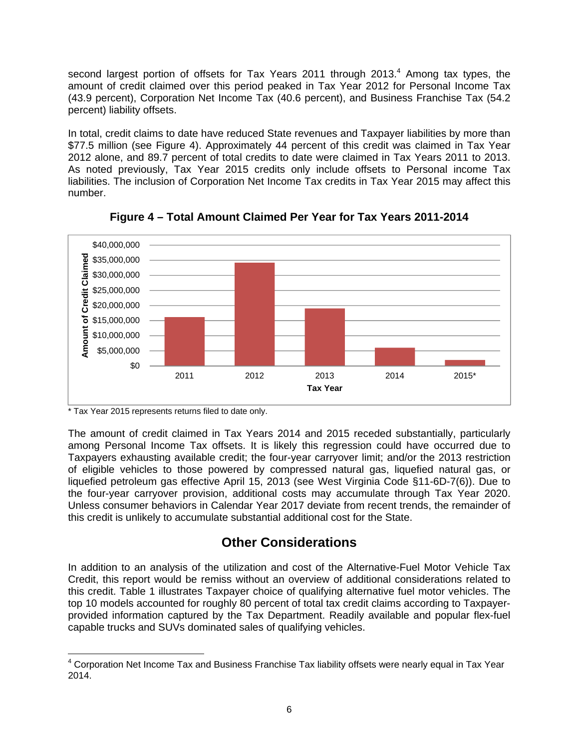second largest portion of offsets for Tax Years 2011 through 2013. $4$  Among tax types, the amount of credit claimed over this period peaked in Tax Year 2012 for Personal Income Tax (43.9 percent), Corporation Net Income Tax (40.6 percent), and Business Franchise Tax (54.2 percent) liability offsets.

In total, credit claims to date have reduced State revenues and Taxpayer liabilities by more than \$77.5 million (see Figure 4). Approximately 44 percent of this credit was claimed in Tax Year 2012 alone, and 89.7 percent of total credits to date were claimed in Tax Years 2011 to 2013. As noted previously, Tax Year 2015 credits only include offsets to Personal income Tax liabilities. The inclusion of Corporation Net Income Tax credits in Tax Year 2015 may affect this number.



**Figure 4 – Total Amount Claimed Per Year for Tax Years 2011-2014** 

\* Tax Year 2015 represents returns filed to date only.

The amount of credit claimed in Tax Years 2014 and 2015 receded substantially, particularly among Personal Income Tax offsets. It is likely this regression could have occurred due to Taxpayers exhausting available credit; the four-year carryover limit; and/or the 2013 restriction of eligible vehicles to those powered by compressed natural gas, liquefied natural gas, or liquefied petroleum gas effective April 15, 2013 (see West Virginia Code §11-6D-7(6)). Due to the four-year carryover provision, additional costs may accumulate through Tax Year 2020. Unless consumer behaviors in Calendar Year 2017 deviate from recent trends, the remainder of this credit is unlikely to accumulate substantial additional cost for the State.

## **Other Considerations**

In addition to an analysis of the utilization and cost of the Alternative-Fuel Motor Vehicle Tax Credit, this report would be remiss without an overview of additional considerations related to this credit. Table 1 illustrates Taxpayer choice of qualifying alternative fuel motor vehicles. The top 10 models accounted for roughly 80 percent of total tax credit claims according to Taxpayerprovided information captured by the Tax Department. Readily available and popular flex-fuel capable trucks and SUVs dominated sales of qualifying vehicles.

<sup>————————————————————&</sup>lt;br><sup>4</sup> Corporation Net Income Tax and Business Franchise Tax liability offsets were nearly equal in Tax Year 2014.